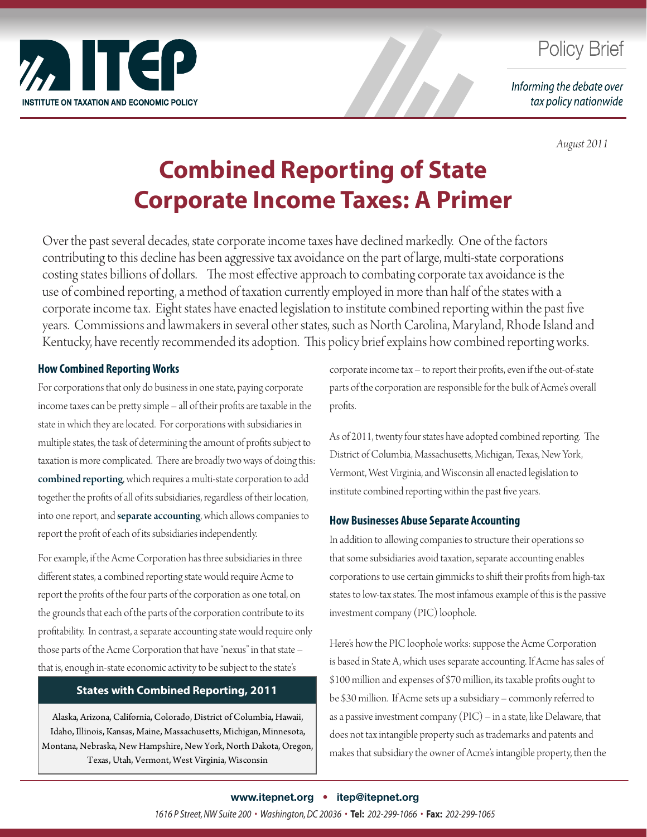

## **Policy Brief**

Informing the debate over tax policy nationwide

*August 2011*

# **Combined Reporting of State Corporate Income Taxes: A Primer**

Over the past several decades, state corporate income taxes have declined markedly. One of the factors contributing to this decline has been aggressive tax avoidance on the part of large, multi-state corporations costing states billions of dollars. The most effective approach to combating corporate tax avoidance is the use of combined reporting, a method of taxation currently employed in more than half of the states with a corporate income tax. Eight states have enacted legislation to institute combined reporting within the past five years. Commissions and lawmakers in several other states, such as North Carolina, Maryland, Rhode Island and Kentucky, have recently recommended its adoption. This policy brief explains how combined reporting works.

#### **How Combined Reporting Works**

For corporations that only do business in one state, paying corporate income taxes can be pretty simple – all of their profits are taxable in the state in which they are located. For corporations with subsidiaries in multiple states, the task of determining the amount of profits subject to taxation is more complicated. There are broadly two ways of doing this: combined reporting, which requires a multi-state corporation to add together the profits of all of its subsidiaries, regardless of their location, into one report, and separate accounting, which allows companies to report the profit of each of its subsidiaries independently.

For example, if the Acme Corporation has three subsidiaries in three different states, a combined reporting state would require Acme to report the profits of the four parts of the corporation as one total, on the grounds that each of the parts of the corporation contribute to its profitability. In contrast, a separate accounting state would require only those parts of the Acme Corporation that have "nexus" in that state – that is, enough in-state economic activity to be subject to the state's

#### **States with Combined Reporting, 2011**

Alaska, Arizona, California, Colorado, District of Columbia, Hawaii, Idaho, Illinois, Kansas, Maine, Massachusetts, Michigan, Minnesota, Montana, Nebraska, New Hampshire, New York, North Dakota, Oregon, Texas, Utah, Vermont, West Virginia, Wisconsin

corporate income tax – to report their profits, even if the out-of-state parts of the corporation are responsible for the bulk of Acme's overall profits.

As of 2011, twenty four states have adopted combined reporting. The District of Columbia, Massachusetts, Michigan, Texas, New York, Vermont, West Virginia, and Wisconsin all enacted legislation to institute combined reporting within the past five years.

#### **How Businesses Abuse Separate Accounting**

In addition to allowing companies to structure their operations so that some subsidiaries avoid taxation, separate accounting enables corporations to use certain gimmicks to shift their profits from high-tax states to low-tax states. The most infamous example of this is the passive investment company (PIC) loophole.

Here's how the PIC loophole works: suppose the Acme Corporation is based in State A, which uses separate accounting. If Acme has sales of \$100 million and expenses of \$70 million, its taxable profits ought to be \$30 million. If Acme sets up a subsidiary – commonly referred to as a passive investment company (PIC) – in a state, like Delaware, that does not tax intangible property such as trademarks and patents and makes that subsidiary the owner of Acme's intangible property, then the